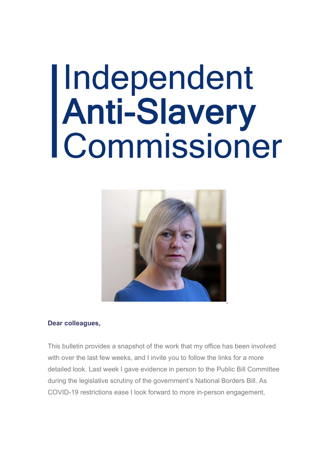# |Independent<br>|Anti-Slavery<br>|Commissioner



#### Dear colleagues,

This bulletin provides a snapshot of the work that my office has been involved with over the last few weeks, and I invite you to follow the links for a more detailed look. Last week I gave evidence in person to the Public Bill Committee during the legislative scrutiny of the government's National Borders Bill. As COVID-19 restrictions ease I look forward to more in-person engagement,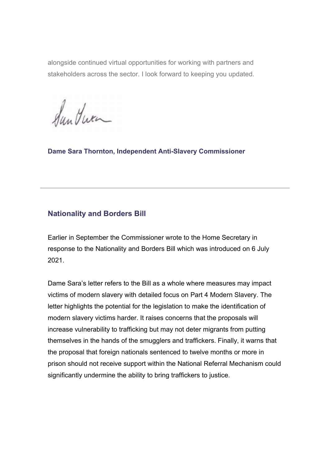alongside continued virtual opportunities for working with partners and stakeholders across the sector. I look forward to keeping you updated.

Sun Jura

Dame Sara Thornton, Independent Anti-Slavery Commissioner

## Nationality and Borders Bill

Earlier in September the Commissioner wrote to the Home Secretary in response to the Nationality and Borders Bill which was introduced on 6 July 2021.

Dame Sara's letter refers to the Bill as a whole where measures may impact victims of modern slavery with detailed focus on Part 4 Modern Slavery. The letter highlights the potential for the legislation to make the identification of modern slavery victims harder. It raises concerns that the proposals will increase vulnerability to trafficking but may not deter migrants from putting themselves in the hands of the smugglers and traffickers. Finally, it warns that the proposal that foreign nationals sentenced to twelve months or more in prison should not receive support within the National Referral Mechanism could significantly undermine the ability to bring traffickers to justice.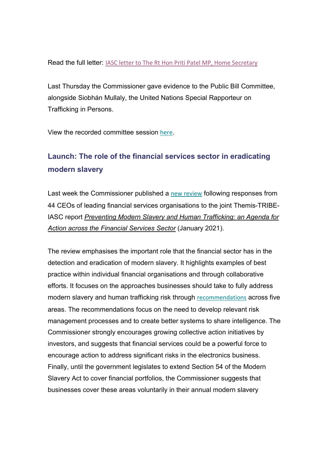Read the full letter: IASC letter to The Rt Hon Priti Patel MP, Home Secretary

Last Thursday the Commissioner gave evidence to the Public Bill Committee, alongside Siobhán Mullaly, the United Nations Special Rapporteur on Trafficking in Persons.

View the recorded committee session here.

# Launch: The role of the financial services sector in eradicating modern slavery

Last week the Commissioner published a new review following responses from 44 CEOs of leading financial services organisations to the joint Themis-TRIBE-IASC report Preventing Modern Slavery and Human Trafficking: an Agenda for Action across the Financial Services Sector (January 2021).

The review emphasises the important role that the financial sector has in the detection and eradication of modern slavery. It highlights examples of best practice within individual financial organisations and through collaborative efforts. It focuses on the approaches businesses should take to fully address modern slavery and human trafficking risk through recommendations across five areas. The recommendations focus on the need to develop relevant risk management processes and to create better systems to share intelligence. The Commissioner strongly encourages growing collective action initiatives by investors, and suggests that financial services could be a powerful force to encourage action to address significant risks in the electronics business. Finally, until the government legislates to extend Section 54 of the Modern Slavery Act to cover financial portfolios, the Commissioner suggests that businesses cover these areas voluntarily in their annual modern slavery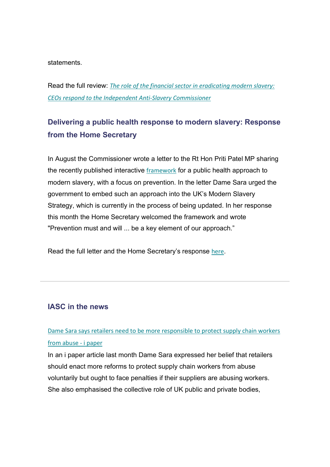statements.

Read the full review: The role of the financial sector in eradicating modern slavery: CEOs respond to the Independent Anti-Slavery Commissioner

# Delivering a public health response to modern slavery: Response from the Home Secretary

In August the Commissioner wrote a letter to the Rt Hon Priti Patel MP sharing the recently published interactive framework for a public health approach to modern slavery, with a focus on prevention. In the letter Dame Sara urged the government to embed such an approach into the UK's Modern Slavery Strategy, which is currently in the process of being updated. In her response this month the Home Secretary welcomed the framework and wrote "Prevention must and will ... be a key element of our approach."

Read the full letter and the Home Secretary's response here.

## IASC in the news

# Dame Sara says retailers need to be more responsible to protect supply chain workers from abuse - i paper

In an i paper article last month Dame Sara expressed her belief that retailers should enact more reforms to protect supply chain workers from abuse voluntarily but ought to face penalties if their suppliers are abusing workers. She also emphasised the collective role of UK public and private bodies,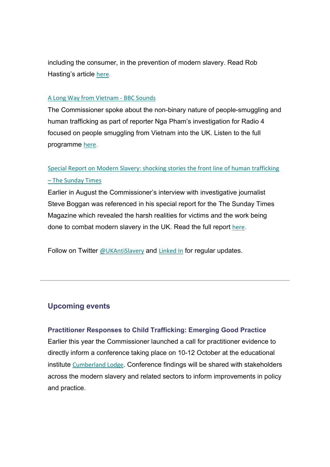including the consumer, in the prevention of modern slavery. Read Rob Hasting's article here.

#### A Long Way from Vietnam - BBC Sounds

The Commissioner spoke about the non-binary nature of people-smuggling and human trafficking as part of reporter Nga Pham's investigation for Radio 4 focused on people smuggling from Vietnam into the UK. Listen to the full programme here.

# Special Report on Modern Slavery: shocking stories the front line of human trafficking – The Sunday Times

Earlier in August the Commissioner's interview with investigative journalist Steve Boggan was referenced in his special report for the The Sunday Times Magazine which revealed the harsh realities for victims and the work being done to combat modern slavery in the UK. Read the full report here.

Follow on Twitter @UKAntiSlavery and Linked In for regular updates.

## Upcoming events

#### Practitioner Responses to Child Trafficking: Emerging Good Practice

Earlier this year the Commissioner launched a call for practitioner evidence to directly inform a conference taking place on 10-12 October at the educational institute Cumberland Lodge. Conference findings will be shared with stakeholders across the modern slavery and related sectors to inform improvements in policy and practice.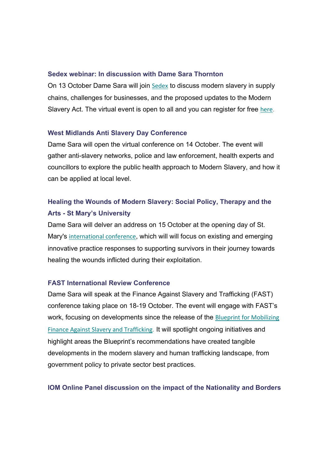#### Sedex webinar: In discussion with Dame Sara Thornton

On 13 October Dame Sara will join Sedex to discuss modern slavery in supply chains, challenges for businesses, and the proposed updates to the Modern Slavery Act. The virtual event is open to all and you can register for free here.

#### West Midlands Anti Slavery Day Conference

Dame Sara will open the virtual conference on 14 October. The event will gather anti-slavery networks, police and law enforcement, health experts and councillors to explore the public health approach to Modern Slavery, and how it can be applied at local level.

## Healing the Wounds of Modern Slavery: Social Policy, Therapy and the Arts - St Mary's University

Dame Sara will delver an address on 15 October at the opening day of St. Mary's international conference, which will will focus on existing and emerging innovative practice responses to supporting survivors in their journey towards healing the wounds inflicted during their exploitation.

#### FAST International Review Conference

Dame Sara will speak at the Finance Against Slavery and Trafficking (FAST) conference taking place on 18-19 October. The event will engage with FAST's work, focusing on developments since the release of the Blueprint for Mobilizing Finance Against Slavery and Trafficking. It will spotlight ongoing initiatives and highlight areas the Blueprint's recommendations have created tangible developments in the modern slavery and human trafficking landscape, from government policy to private sector best practices.

#### IOM Online Panel discussion on the impact of the Nationality and Borders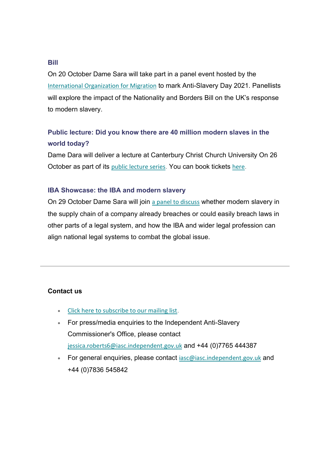#### Bill

On 20 October Dame Sara will take part in a panel event hosted by the International Organization for Migration to mark Anti-Slavery Day 2021. Panellists will explore the impact of the Nationality and Borders Bill on the UK's response to modern slavery.

## Public lecture: Did you know there are 40 million modern slaves in the world today?

Dame Dara will deliver a lecture at Canterbury Christ Church University On 26 October as part of its public lecture series. You can book tickets here.

#### IBA Showcase: the IBA and modern slavery

On 29 October Dame Sara will join a panel to discuss whether modern slavery in the supply chain of a company already breaches or could easily breach laws in other parts of a legal system, and how the IBA and wider legal profession can align national legal systems to combat the global issue.

#### Contact us

- Click here to subscribe to our mailing list.
- For press/media enquiries to the Independent Anti-Slavery Commissioner's Office, please contact jessica.roberts6@iasc.independent.gov.uk and +44 (0)7765 444387
- For general enquiries, please contact iasc@iasc.independent.gov.uk and +44 (0)7836 545842